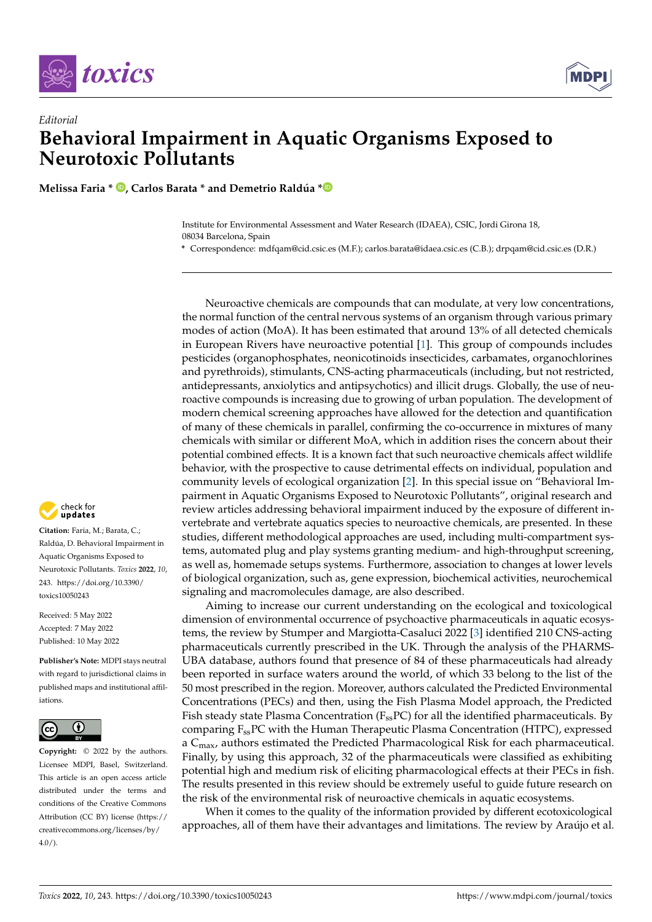



## *Editorial* **Behavioral Impairment in Aquatic Organisms Exposed to Neurotoxic Pollutants**

**Melissa Faria \* [,](https://orcid.org/0000-0003-1451-4427) Carlos Barata \* and Demetrio Raldúa [\\*](https://orcid.org/0000-0001-5256-1641)**

Institute for Environmental Assessment and Water Research (IDAEA), CSIC, Jordi Girona 18, 08034 Barcelona, Spain

**\*** Correspondence: mdfqam@cid.csic.es (M.F.); carlos.barata@idaea.csic.es (C.B.); drpqam@cid.csic.es (D.R.)

Neuroactive chemicals are compounds that can modulate, at very low concentrations, the normal function of the central nervous systems of an organism through various primary modes of action (MoA). It has been estimated that around 13% of all detected chemicals in European Rivers have neuroactive potential [\[1\]](#page-3-0). This group of compounds includes pesticides (organophosphates, neonicotinoids insecticides, carbamates, organochlorines and pyrethroids), stimulants, CNS-acting pharmaceuticals (including, but not restricted, antidepressants, anxiolytics and antipsychotics) and illicit drugs. Globally, the use of neuroactive compounds is increasing due to growing of urban population. The development of modern chemical screening approaches have allowed for the detection and quantification of many of these chemicals in parallel, confirming the co-occurrence in mixtures of many chemicals with similar or different MoA, which in addition rises the concern about their potential combined effects. It is a known fact that such neuroactive chemicals affect wildlife behavior, with the prospective to cause detrimental effects on individual, population and community levels of ecological organization [\[2\]](#page-3-1). In this special issue on "Behavioral Impairment in Aquatic Organisms Exposed to Neurotoxic Pollutants", original research and review articles addressing behavioral impairment induced by the exposure of different invertebrate and vertebrate aquatics species to neuroactive chemicals, are presented. In these studies, different methodological approaches are used, including multi-compartment systems, automated plug and play systems granting medium- and high-throughput screening, as well as, homemade setups systems. Furthermore, association to changes at lower levels of biological organization, such as, gene expression, biochemical activities, neurochemical signaling and macromolecules damage, are also described.

Aiming to increase our current understanding on the ecological and toxicological dimension of environmental occurrence of psychoactive pharmaceuticals in aquatic ecosystems, the review by Stumper and Margiotta-Casaluci 2022 [\[3\]](#page-3-2) identified 210 CNS-acting pharmaceuticals currently prescribed in the UK. Through the analysis of the PHARMS-UBA database, authors found that presence of 84 of these pharmaceuticals had already been reported in surface waters around the world, of which 33 belong to the list of the 50 most prescribed in the region. Moreover, authors calculated the Predicted Environmental Concentrations (PECs) and then, using the Fish Plasma Model approach, the Predicted Fish steady state Plasma Concentration  $(F_{\rm ss}PC)$  for all the identified pharmaceuticals. By comparing  $F_{ss}$ PC with the Human Therapeutic Plasma Concentration (HTPC), expressed a C<sub>max</sub>, authors estimated the Predicted Pharmacological Risk for each pharmaceutical. Finally, by using this approach, 32 of the pharmaceuticals were classified as exhibiting potential high and medium risk of eliciting pharmacological effects at their PECs in fish. The results presented in this review should be extremely useful to guide future research on the risk of the environmental risk of neuroactive chemicals in aquatic ecosystems.

When it comes to the quality of the information provided by different ecotoxicological approaches, all of them have their advantages and limitations. The review by Araújo et al.



**Citation:** Faria, M.; Barata, C.; Raldúa, D. Behavioral Impairment in Aquatic Organisms Exposed to Neurotoxic Pollutants. *Toxics* **2022**, *10*, 243. [https://doi.org/10.3390/](https://doi.org/10.3390/toxics10050243) [toxics10050243](https://doi.org/10.3390/toxics10050243)

Received: 5 May 2022 Accepted: 7 May 2022 Published: 10 May 2022

**Publisher's Note:** MDPI stays neutral with regard to jurisdictional claims in published maps and institutional affiliations.



**Copyright:** © 2022 by the authors. Licensee MDPI, Basel, Switzerland. This article is an open access article distributed under the terms and conditions of the Creative Commons Attribution (CC BY) license [\(https://](https://creativecommons.org/licenses/by/4.0/) [creativecommons.org/licenses/by/](https://creativecommons.org/licenses/by/4.0/)  $4.0/$ ).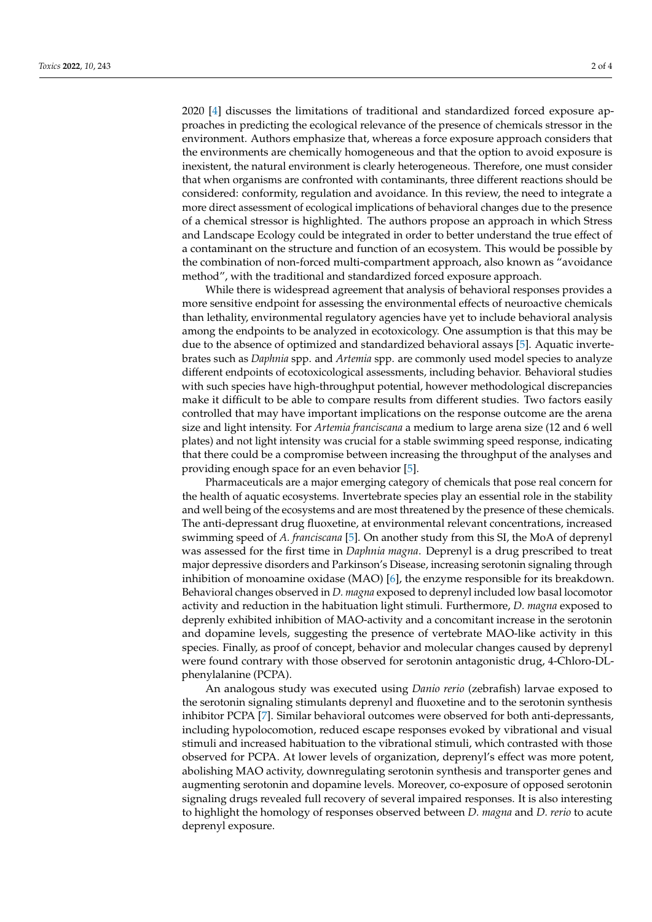2020 [\[4\]](#page-3-3) discusses the limitations of traditional and standardized forced exposure approaches in predicting the ecological relevance of the presence of chemicals stressor in the environment. Authors emphasize that, whereas a force exposure approach considers that the environments are chemically homogeneous and that the option to avoid exposure is inexistent, the natural environment is clearly heterogeneous. Therefore, one must consider that when organisms are confronted with contaminants, three different reactions should be considered: conformity, regulation and avoidance. In this review, the need to integrate a more direct assessment of ecological implications of behavioral changes due to the presence of a chemical stressor is highlighted. The authors propose an approach in which Stress and Landscape Ecology could be integrated in order to better understand the true effect of a contaminant on the structure and function of an ecosystem. This would be possible by the combination of non-forced multi-compartment approach, also known as "avoidance method", with the traditional and standardized forced exposure approach.

While there is widespread agreement that analysis of behavioral responses provides a more sensitive endpoint for assessing the environmental effects of neuroactive chemicals than lethality, environmental regulatory agencies have yet to include behavioral analysis among the endpoints to be analyzed in ecotoxicology. One assumption is that this may be due to the absence of optimized and standardized behavioral assays [\[5\]](#page-3-4). Aquatic invertebrates such as *Daphnia* spp. and *Artemia* spp. are commonly used model species to analyze different endpoints of ecotoxicological assessments, including behavior. Behavioral studies with such species have high-throughput potential, however methodological discrepancies make it difficult to be able to compare results from different studies. Two factors easily controlled that may have important implications on the response outcome are the arena size and light intensity. For *Artemia franciscana* a medium to large arena size (12 and 6 well plates) and not light intensity was crucial for a stable swimming speed response, indicating that there could be a compromise between increasing the throughput of the analyses and providing enough space for an even behavior [\[5\]](#page-3-4).

Pharmaceuticals are a major emerging category of chemicals that pose real concern for the health of aquatic ecosystems. Invertebrate species play an essential role in the stability and well being of the ecosystems and are most threatened by the presence of these chemicals. The anti-depressant drug fluoxetine, at environmental relevant concentrations, increased swimming speed of *A. franciscana* [\[5\]](#page-3-4). On another study from this SI, the MoA of deprenyl was assessed for the first time in *Daphnia magna*. Deprenyl is a drug prescribed to treat major depressive disorders and Parkinson's Disease, increasing serotonin signaling through inhibition of monoamine oxidase (MAO) [\[6\]](#page-3-5), the enzyme responsible for its breakdown. Behavioral changes observed in *D. magna* exposed to deprenyl included low basal locomotor activity and reduction in the habituation light stimuli. Furthermore, *D. magna* exposed to deprenly exhibited inhibition of MAO-activity and a concomitant increase in the serotonin and dopamine levels, suggesting the presence of vertebrate MAO-like activity in this species. Finally, as proof of concept, behavior and molecular changes caused by deprenyl were found contrary with those observed for serotonin antagonistic drug, 4-Chloro-DLphenylalanine (PCPA).

An analogous study was executed using *Danio rerio* (zebrafish) larvae exposed to the serotonin signaling stimulants deprenyl and fluoxetine and to the serotonin synthesis inhibitor PCPA [\[7\]](#page-3-6). Similar behavioral outcomes were observed for both anti-depressants, including hypolocomotion, reduced escape responses evoked by vibrational and visual stimuli and increased habituation to the vibrational stimuli, which contrasted with those observed for PCPA. At lower levels of organization, deprenyl's effect was more potent, abolishing MAO activity, downregulating serotonin synthesis and transporter genes and augmenting serotonin and dopamine levels. Moreover, co-exposure of opposed serotonin signaling drugs revealed full recovery of several impaired responses. It is also interesting to highlight the homology of responses observed between *D. magna* and *D. rerio* to acute deprenyl exposure.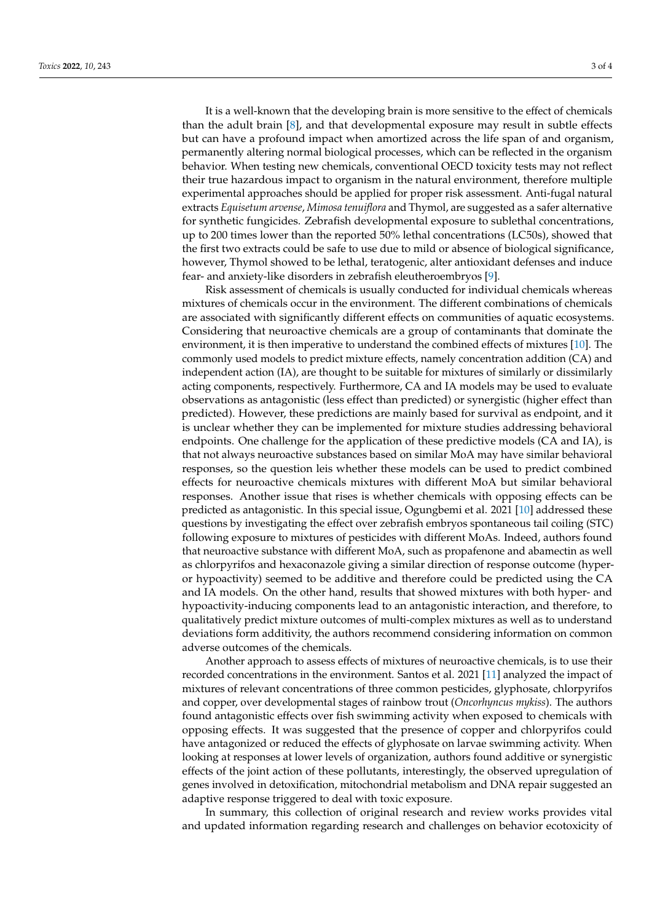It is a well-known that the developing brain is more sensitive to the effect of chemicals than the adult brain [\[8\]](#page-3-7), and that developmental exposure may result in subtle effects but can have a profound impact when amortized across the life span of and organism, permanently altering normal biological processes, which can be reflected in the organism behavior. When testing new chemicals, conventional OECD toxicity tests may not reflect their true hazardous impact to organism in the natural environment, therefore multiple experimental approaches should be applied for proper risk assessment. Anti-fugal natural extracts *Equisetum arvense*, *Mimosa tenuiflora* and Thymol, are suggested as a safer alternative for synthetic fungicides. Zebrafish developmental exposure to sublethal concentrations, up to 200 times lower than the reported 50% lethal concentrations (LC50s), showed that the first two extracts could be safe to use due to mild or absence of biological significance, however, Thymol showed to be lethal, teratogenic, alter antioxidant defenses and induce fear- and anxiety-like disorders in zebrafish eleutheroembryos [\[9\]](#page-3-8).

Risk assessment of chemicals is usually conducted for individual chemicals whereas mixtures of chemicals occur in the environment. The different combinations of chemicals are associated with significantly different effects on communities of aquatic ecosystems. Considering that neuroactive chemicals are a group of contaminants that dominate the environment, it is then imperative to understand the combined effects of mixtures [\[10\]](#page-3-9). The commonly used models to predict mixture effects, namely concentration addition (CA) and independent action (IA), are thought to be suitable for mixtures of similarly or dissimilarly acting components, respectively. Furthermore, CA and IA models may be used to evaluate observations as antagonistic (less effect than predicted) or synergistic (higher effect than predicted). However, these predictions are mainly based for survival as endpoint, and it is unclear whether they can be implemented for mixture studies addressing behavioral endpoints. One challenge for the application of these predictive models (CA and IA), is that not always neuroactive substances based on similar MoA may have similar behavioral responses, so the question leis whether these models can be used to predict combined effects for neuroactive chemicals mixtures with different MoA but similar behavioral responses. Another issue that rises is whether chemicals with opposing effects can be predicted as antagonistic. In this special issue, Ogungbemi et al. 2021 [\[10\]](#page-3-9) addressed these questions by investigating the effect over zebrafish embryos spontaneous tail coiling (STC) following exposure to mixtures of pesticides with different MoAs. Indeed, authors found that neuroactive substance with different MoA, such as propafenone and abamectin as well as chlorpyrifos and hexaconazole giving a similar direction of response outcome (hyperor hypoactivity) seemed to be additive and therefore could be predicted using the CA and IA models. On the other hand, results that showed mixtures with both hyper- and hypoactivity-inducing components lead to an antagonistic interaction, and therefore, to qualitatively predict mixture outcomes of multi-complex mixtures as well as to understand deviations form additivity, the authors recommend considering information on common adverse outcomes of the chemicals.

Another approach to assess effects of mixtures of neuroactive chemicals, is to use their recorded concentrations in the environment. Santos et al. 2021 [\[11\]](#page-3-10) analyzed the impact of mixtures of relevant concentrations of three common pesticides, glyphosate, chlorpyrifos and copper, over developmental stages of rainbow trout (*Oncorhyncus mykiss*). The authors found antagonistic effects over fish swimming activity when exposed to chemicals with opposing effects. It was suggested that the presence of copper and chlorpyrifos could have antagonized or reduced the effects of glyphosate on larvae swimming activity. When looking at responses at lower levels of organization, authors found additive or synergistic effects of the joint action of these pollutants, interestingly, the observed upregulation of genes involved in detoxification, mitochondrial metabolism and DNA repair suggested an adaptive response triggered to deal with toxic exposure.

In summary, this collection of original research and review works provides vital and updated information regarding research and challenges on behavior ecotoxicity of